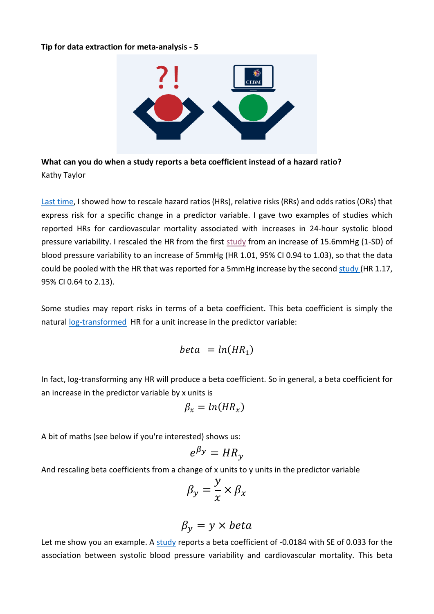## **Tip for data extraction for meta-analysis - 5**



**What can you do when a study reports a beta coefficient instead of a hazard ratio?**  Kathy Taylor

[Last time,](https://www.cebm.ox.ac.uk/resources/data-extraction-tips-meta-analysis/prognostic-studies-report-measure-risk-different-scales) I showed how to rescale hazard ratios (HRs), relative risks (RRs) and odds ratios (ORs) that express risk for a specific change in a predictor variable. I gave two examples of studies which reported HRs for cardiovascular mortality associated with increases in 24-hour systolic blood pressure variability. I rescaled the HR from the first [study](https://www.ncbi.nlm.nih.gov/pubmed/20212270) from an increase of 15.6mmHg (1-SD) of blood pressure variability to an increase of 5mmHg (HR 1.01, 95% CI 0.94 to 1.03), so that the data could be pooled with the HR that was reported for a 5mmHg increase by the second [study](https://www.ncbi.nlm.nih.gov/pubmed/14654744) (HR 1.17, 95% CI 0.64 to 2.13).

Some studies may report risks in terms of a beta coefficient. This beta coefficient is simply the natural [log-transformed](https://www.cebm.ox.ac.uk/resources/data-extraction-tips-meta-analysis/logarithms-and-log-transformations) HR for a unit increase in the predictor variable:

$$
beta = ln(HR_1)
$$

In fact, log-transforming any HR will produce a beta coefficient. So in general, a beta coefficient for an increase in the predictor variable by x units is

$$
\beta_x = \ln(HR_x)
$$

A bit of maths (see below if you're interested) shows us:

$$
e^{\beta y} = H R_y
$$

And rescaling beta coefficients from a change of x units to y units in the predictor variable

$$
\beta_{y} = \frac{y}{x} \times \beta_{x}
$$

$$
\beta_{y} = y \times beta
$$

Let me show you an example. A [study](https://www.ncbi.nlm.nih.gov/pubmed/17452502) reports a beta coefficient of -0.0184 with SE of 0.033 for the association between systolic blood pressure variability and cardiovascular mortality. This beta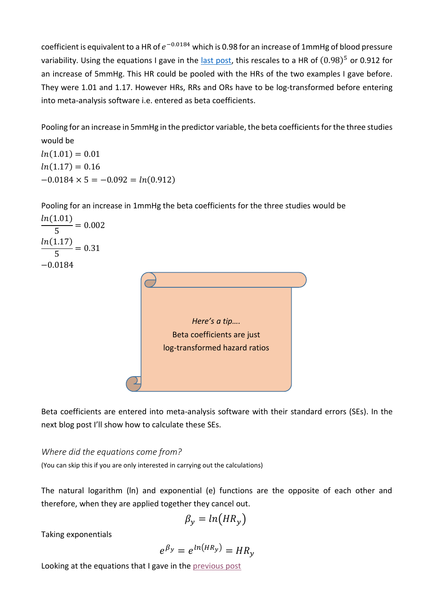coefficient is equivalent to a HR of  $e^{-0.0184}$  which is 0.98 for an increase of 1mmHg of blood pressure variability. Using the equations I gave in the [last post,](https://www.cebm.ox.ac.uk/resources/data-extraction-tips-meta-analysis/prognostic-studies-report-measure-risk-different-scales) this rescales to a HR of  $(0.98)^5$  or 0.912 for an increase of 5mmHg. This HR could be pooled with the HRs of the two examples I gave before. They were 1.01 and 1.17. However HRs, RRs and ORs have to be log-transformed before entering into meta-analysis software i.e. entered as beta coefficients.

Pooling for an increase in 5mmHg in the predictor variable, the beta coefficients for the three studies would be

 $ln(1.01) = 0.01$  $ln(1.17) = 0.16$  $-0.0184 \times 5 = -0.092 = ln(0.912)$ 

Pooling for an increase in 1mmHg the beta coefficients for the three studies would be  $ln(1.01)$ 

5  $= 0.002$  $ln(1.17)$ 5  $= 0.31$ −0.0184



Beta coefficients are entered into meta-analysis software with their standard errors (SEs). In the next blog post I'll show how to calculate these SEs.

*Where did the equations come from?*

(You can skip this if you are only interested in carrying out the calculations)

The natural logarithm (ln) and exponential (e) functions are the opposite of each other and therefore, when they are applied together they cancel out.

$$
\beta_{y}=ln(HR_{y})
$$

Taking exponentials

$$
e^{\beta_y}=e^{\ln(HR_y)}=HR_y
$$

Looking at the equations that I gave in the [previous post](https://www.cebm.ox.ac.uk/resources/data-extraction-tips-meta-analysis/prognostic-studies-report-measure-risk-different-scales)